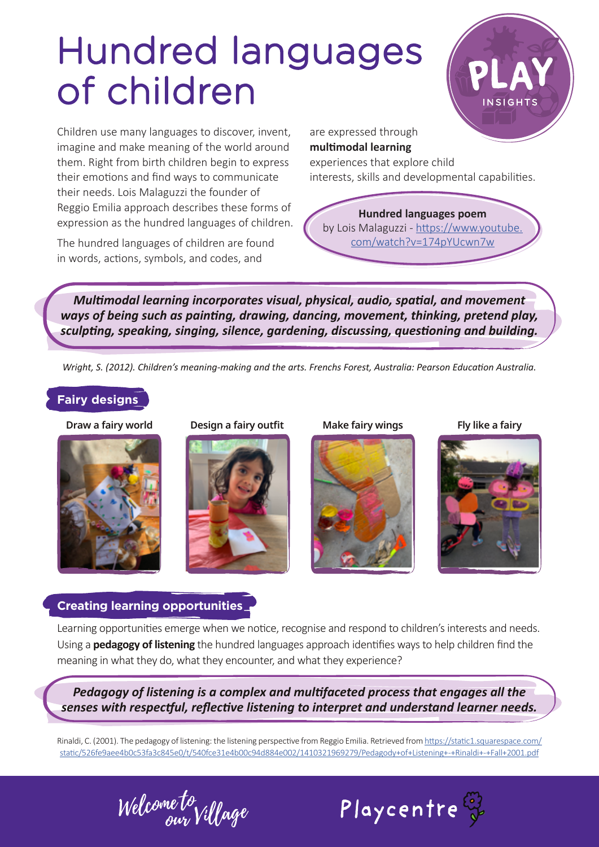# Hundred languages of children

Children use many languages to discover, invent, imagine and make meaning of the world around them. Right from birth children begin to express their emotions and find ways to communicate their needs. Lois Malaguzzi the founder of Reggio Emilia approach describes these forms of expression as the hundred languages of children.

The hundred languages of children are found in words, actions, symbols, and codes, and

are expressed through

#### **multimodal learning**

experiences that explore child

interests, skills and developmental capabilities.

#### **Hundred languages poem**

by Lois Malaguzzi - https://www.youtube. com/watch?v=174pYUcwn7w

*Multimodal learning incorporates visual, physical, audio, spatial, and movement ways of being such as painting, drawing, dancing, movement, thinking, pretend play, sculpting, speaking, singing, silence, gardening, discussing, questioning and building.* 

*Wright, S. (2012). Children's meaning-making and the arts. Frenchs Forest, Australia: Pearson Education Australia.*

# **Fairy designs**



 **Draw a fairy world Design a fairy outfit Make fairy wings Fly like a fairy**







#### **Creating learning opportunities**

Learning opportunities emerge when we notice, recognise and respond to children's interests and needs. Using a **pedagogy of listening** the hundred languages approach identifies ways to help children find the meaning in what they do, what they encounter, and what they experience?

*Pedagogy of listening is a complex and multifaceted process that engages all the senses with respectful, reflective listening to interpret and understand learner needs.* 

Rinaldi, C. (2001). The pedagogy of listening: the listening perspective from Reggio Emilia. Retrieved from https://static1.squarespace.com/ static/526fe9aee4b0c53fa3c845e0/t/540fce31e4b00c94d884e002/1410321969279/Pedagody+of+Listening+-+Rinaldi+-+Fall+2001.pdf

Welcome to<br>our Village

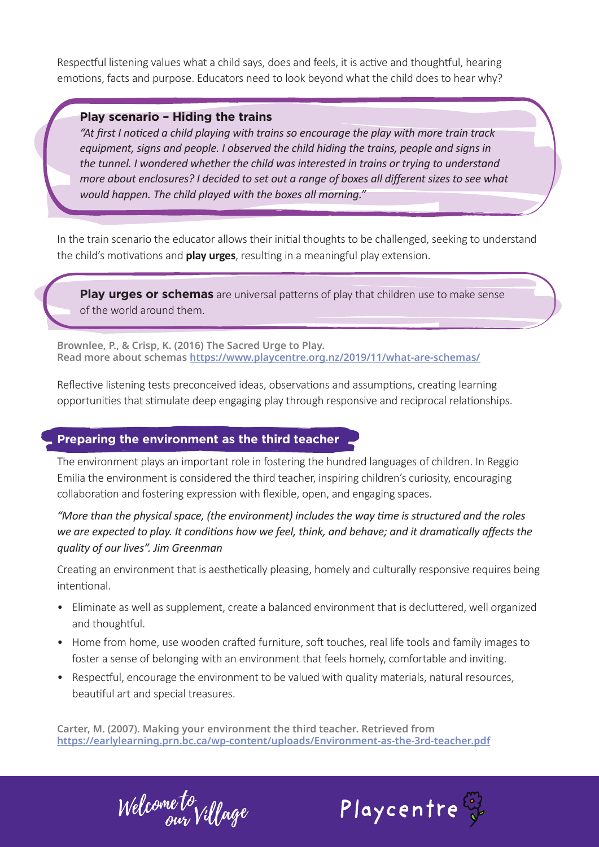Respectful listening values what a child says, does and feels, it is active and thoughtful, hearing emotions, facts and purpose. Educators need to look beyond what the child does to hear why?

#### **Play scenario – Hiding the trains**

*"At first I noticed a child playing with trains so encourage the play with more train track equipment, signs and people. I observed the child hiding the trains, people and signs in the tunnel. I wondered whether the child was interested in trains or trying to understand more about enclosures? I decided to set out a range of boxes all different sizes to see what would happen. The child played with the boxes all morning."*

In the train scenario the educator allows their initial thoughts to be challenged, seeking to understand the child's motivations and **play urges**, resulting in a meaningful play extension.

**Play urges or schemas** are universal patterns of play that children use to make sense of the world around them.

**Brownlee, P., & Crisp, K. (2016) The Sacred Urge to Play. Read more about schemas https://www.playcentre.org.nz/2019/11/what-are-schemas/**

Reflective listening tests preconceived ideas, observations and assumptions, creating learning opportunities that stimulate deep engaging play through responsive and reciprocal relationships.

## **Preparing the environment as the third teacher**

The environment plays an important role in fostering the hundred languages of children. In Reggio Emilia the environment is considered the third teacher, inspiring children's curiosity, encouraging collaboration and fostering expression with flexible, open, and engaging spaces.

*"More than the physical space, (the environment) includes the way time is structured and the roles we are expected to play. It conditions how we feel, think, and behave; and it dramatically affects the quality of our lives". Jim Greenman*

Creating an environment that is aesthetically pleasing, homely and culturally responsive requires being intentional.

- Eliminate as well as supplement, create a balanced environment that is decluttered, well organized and thoughtful.
- Home from home, use wooden crafted furniture, soft touches, real life tools and family images to foster a sense of belonging with an environment that feels homely, comfortable and inviting.
- Respectful, encourage the environment to be valued with quality materials, natural resources, beautiful art and special treasures.

**Carter, M. (2007). Making your environment the third teacher. Retrieved from https://earlylearning.prn.bc.ca/wp-content/uploads/Environment-as-the-3rd-teacher.pdf**

Welcome to Village

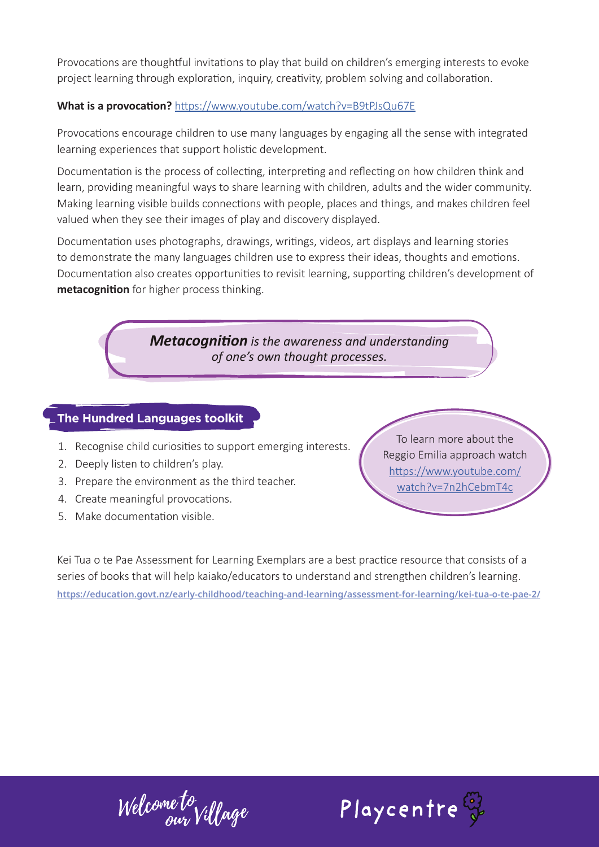Provocations are thoughtful invitations to play that build on children's emerging interests to evoke project learning through exploration, inquiry, creativity, problem solving and collaboration.

## **What is a provocation?** https://www.youtube.com/watch?v=B9tPJsQu67E

Provocations encourage children to use many languages by engaging all the sense with integrated learning experiences that support holistic development.

Documentation is the process of collecting, interpreting and reflecting on how children think and learn, providing meaningful ways to share learning with children, adults and the wider community. Making learning visible builds connections with people, places and things, and makes children feel valued when they see their images of play and discovery displayed.

Documentation uses photographs, drawings, writings, videos, art displays and learning stories to demonstrate the many languages children use to express their ideas, thoughts and emotions. Documentation also creates opportunities to revisit learning, supporting children's development of **metacognition** for higher process thinking.

> *Metacognition is the awareness and understanding of one's own thought processes.*

# **The Hundred Languages toolkit**

- 1. Recognise child curiosities to support emerging interests.
- 2. Deeply listen to children's play.
- 3. Prepare the environment as the third teacher.
- 4. Create meaningful provocations.
- 5. Make documentation visible.

To learn more about the Reggio Emilia approach watch https://www.youtube.com/ watch?v=7n2hCebmT4c

Kei Tua o te Pae Assessment for Learning Exemplars are a best practice resource that consists of a series of books that will help kaiako/educators to understand and strengthen children's learning. **https://education.govt.nz/early-childhood/teaching-and-learning/assessment-for-learning/kei-tua-o-te-pae-2/**

Welcome to Village